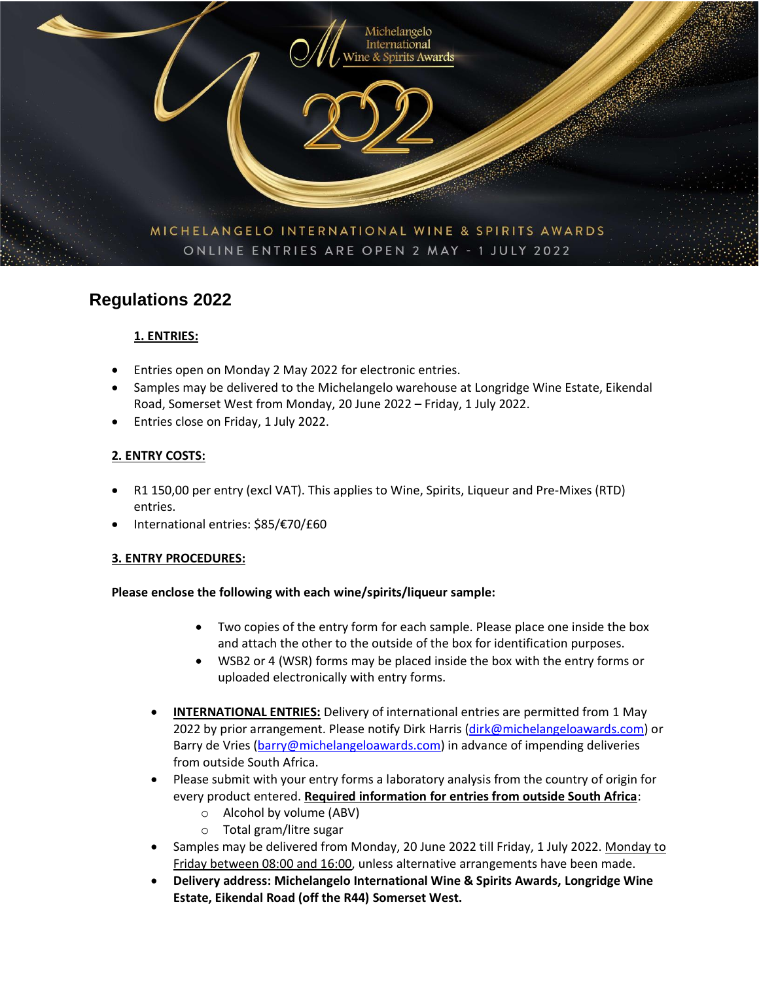

# **Regulations 2022**

# **1. ENTRIES:**

- Entries open on Monday 2 May 2022 for electronic entries.
- Samples may be delivered to the Michelangelo warehouse at Longridge Wine Estate, Eikendal Road, Somerset West from Monday, 20 June 2022 – Friday, 1 July 2022.
- Entries close on Friday, 1 July 2022.

### **2. ENTRY COSTS:**

- R1 150,00 per entry (excl VAT). This applies to Wine, Spirits, Liqueur and Pre-Mixes (RTD) entries.
- International entries: \$85/€70/£60

### **3. ENTRY PROCEDURES:**

### **Please enclose the following with each wine/spirits/liqueur sample:**

- Two copies of the entry form for each sample. Please place one inside the box and attach the other to the outside of the box for identification purposes.
- WSB2 or 4 (WSR) forms may be placed inside the box with the entry forms or uploaded electronically with entry forms.
- **INTERNATIONAL ENTRIES:** Delivery of international entries are permitted from 1 May 2022 by prior arrangement. Please notify Dirk Harris [\(dirk@michelangeloawards.com\)](mailto:dirk@michelangeloawards.com) or Barry de Vries [\(barry@michelangeloawards.com\)](mailto:barry@michelangeloawards.com) in advance of impending deliveries from outside South Africa.
- Please submit with your entry forms a laboratory analysis from the country of origin for every product entered. **Required information for entries from outside South Africa**:
	- o Alcohol by volume (ABV)
	- o Total gram/litre sugar
- Samples may be delivered from Monday, 20 June 2022 till Friday, 1 July 2022. Monday to Friday between 08:00 and 16:00, unless alternative arrangements have been made.
- **Delivery address: Michelangelo International Wine & Spirits Awards, Longridge Wine Estate, Eikendal Road (off the R44) Somerset West.**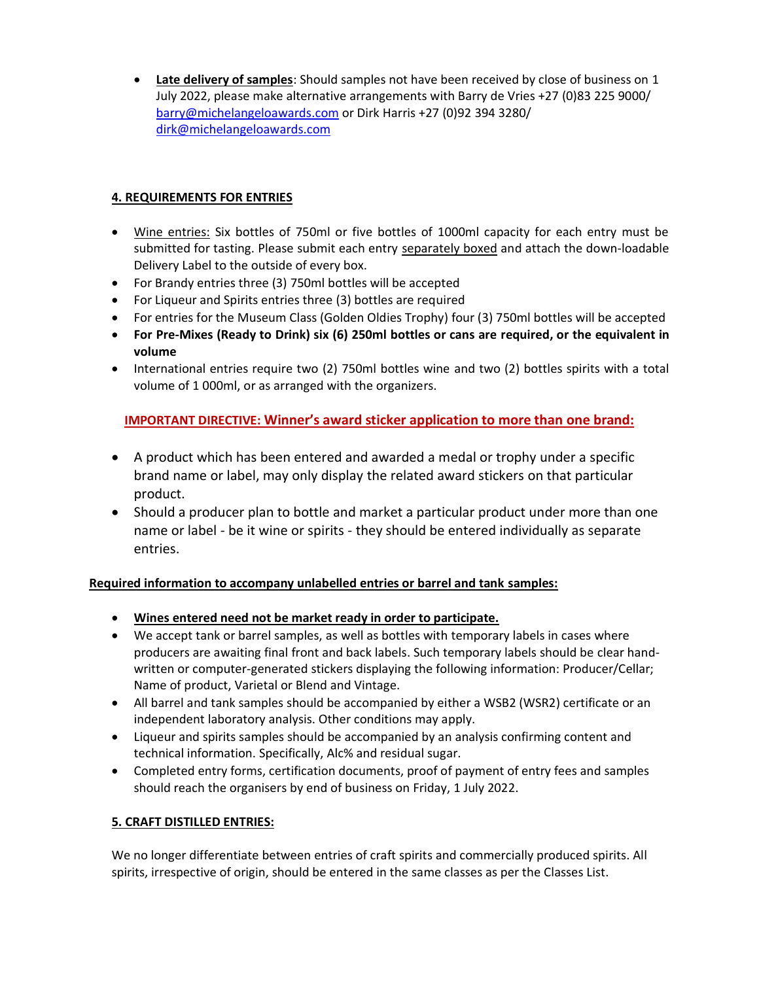• **Late delivery of samples**: Should samples not have been received by close of business on 1 July 2022, please make alternative arrangements with Barry de Vries +27 (0)83 225 9000/ [barry@michelangeloawards.com](mailto:barry@michelangeloawards.com) or Dirk Harris +27 (0)92 394 3280/ [dirk@michelangeloawards.com](mailto:dirk@michelangeloawards.com)

## **4. REQUIREMENTS FOR ENTRIES**

- Wine entries: Six bottles of 750ml or five bottles of 1000ml capacity for each entry must be submitted for tasting. Please submit each entry separately boxed and attach the down-loadable Delivery Label to the outside of every box.
- For Brandy entries three (3) 750ml bottles will be accepted
- For Liqueur and Spirits entries three (3) bottles are required
- For entries for the Museum Class (Golden Oldies Trophy) four (3) 750ml bottles will be accepted
- **For Pre-Mixes (Ready to Drink) six (6) 250ml bottles or cans are required, or the equivalent in volume**
- International entries require two (2) 750ml bottles wine and two (2) bottles spirits with a total volume of 1 000ml, or as arranged with the organizers.

# **IMPORTANT DIRECTIVE: Winner's award sticker application to more than one brand:**

- A product which has been entered and awarded a medal or trophy under a specific brand name or label, may only display the related award stickers on that particular product.
- Should a producer plan to bottle and market a particular product under more than one name or label - be it wine or spirits - they should be entered individually as separate entries.

### **Required information to accompany unlabelled entries or barrel and tank samples:**

- **Wines entered need not be market ready in order to participate.**
- We accept tank or barrel samples, as well as bottles with temporary labels in cases where producers are awaiting final front and back labels. Such temporary labels should be clear handwritten or computer-generated stickers displaying the following information: Producer/Cellar; Name of product, Varietal or Blend and Vintage.
- All barrel and tank samples should be accompanied by either a WSB2 (WSR2) certificate or an independent laboratory analysis. Other conditions may apply.
- Liqueur and spirits samples should be accompanied by an analysis confirming content and technical information. Specifically, Alc% and residual sugar.
- Completed entry forms, certification documents, proof of payment of entry fees and samples should reach the organisers by end of business on Friday, 1 July 2022.

### **5. CRAFT DISTILLED ENTRIES:**

We no longer differentiate between entries of craft spirits and commercially produced spirits. All spirits, irrespective of origin, should be entered in the same classes as per the Classes List.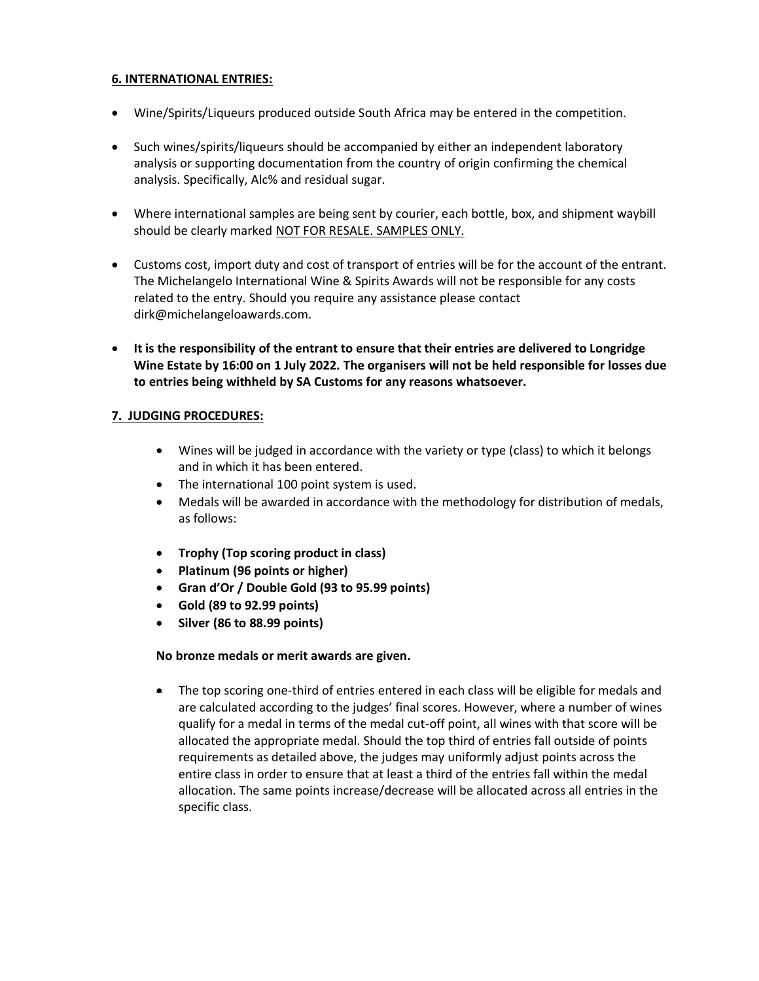#### **6. INTERNATIONAL ENTRIES:**

- Wine/Spirits/Liqueurs produced outside South Africa may be entered in the competition.
- Such wines/spirits/liqueurs should be accompanied by either an independent laboratory analysis or supporting documentation from the country of origin confirming the chemical analysis. Specifically, Alc% and residual sugar.
- Where international samples are being sent by courier, each bottle, box, and shipment waybill should be clearly marked NOT FOR RESALE. SAMPLES ONLY.
- Customs cost, import duty and cost of transport of entries will be for the account of the entrant. The Michelangelo International Wine & Spirits Awards will not be responsible for any costs related to the entry. Should you require any assistance please contact dirk@michelangeloawards.com.
- **It is the responsibility of the entrant to ensure that their entries are delivered to Longridge Wine Estate by 16:00 on 1 July 2022. The organisers will not be held responsible for losses due to entries being withheld by SA Customs for any reasons whatsoever.**

### **7. JUDGING PROCEDURES:**

- Wines will be judged in accordance with the variety or type (class) to which it belongs and in which it has been entered.
- The international 100 point system is used.
- Medals will be awarded in accordance with the methodology for distribution of medals, as follows:
- **Trophy (Top scoring product in class)**
- **Platinum (96 points or higher)**
- **Gran d'Or / Double Gold (93 to 95.99 points)**
- **Gold (89 to 92.99 points)**
- **Silver (86 to 88.99 points)**

### **No bronze medals or merit awards are given.**

• The top scoring one-third of entries entered in each class will be eligible for medals and are calculated according to the judges' final scores. However, where a number of wines qualify for a medal in terms of the medal cut-off point, all wines with that score will be allocated the appropriate medal. Should the top third of entries fall outside of points requirements as detailed above, the judges may uniformly adjust points across the entire class in order to ensure that at least a third of the entries fall within the medal allocation. The same points increase/decrease will be allocated across all entries in the specific class.